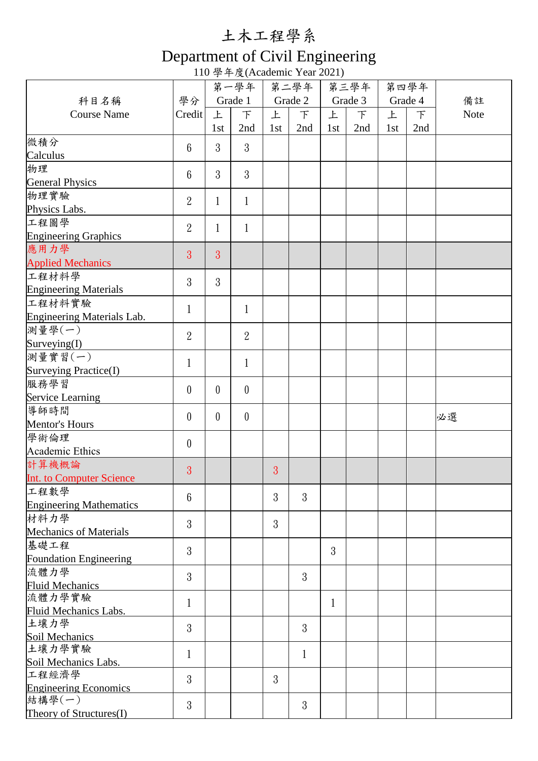## 土木工程學系

## Department of Civil Engineering

110 學年度(Academic Year 2021)

|                                 |                  | 第一學年           |                  | 第二學年    |              | 第三學年    |     | 第四學年    |        | 備註          |
|---------------------------------|------------------|----------------|------------------|---------|--------------|---------|-----|---------|--------|-------------|
| 科目名稱                            | 學分               | Grade 1        |                  | Grade 2 |              | Grade 3 |     | Grade 4 |        |             |
| <b>Course Name</b>              | Credit           | 上              | F                | 上       | F            | 上       | F   | 上       | $\top$ | <b>Note</b> |
|                                 |                  | 1st            | 2nd              | 1st     | 2nd          | 1st     | 2nd | 1st     | 2nd    |             |
| 微積分                             |                  |                |                  |         |              |         |     |         |        |             |
| Calculus                        | $6\phantom{1}6$  | 3              | 3                |         |              |         |     |         |        |             |
| 物理                              |                  |                |                  |         |              |         |     |         |        |             |
| <b>General Physics</b>          | $6\phantom{1}$   | 3              | 3                |         |              |         |     |         |        |             |
| 物理實驗                            |                  |                |                  |         |              |         |     |         |        |             |
| Physics Labs.                   | $\overline{2}$   | $\mathbf 1$    | $\mathbf 1$      |         |              |         |     |         |        |             |
| 工程圖學                            | $\overline{2}$   |                |                  |         |              |         |     |         |        |             |
| <b>Engineering Graphics</b>     |                  | 1              | $\mathbf{1}$     |         |              |         |     |         |        |             |
| 應用力學                            |                  | $\overline{3}$ |                  |         |              |         |     |         |        |             |
| <b>Applied Mechanics</b>        | 3                |                |                  |         |              |         |     |         |        |             |
| 工程材料學                           | 3                | 3              |                  |         |              |         |     |         |        |             |
| <b>Engineering Materials</b>    |                  |                |                  |         |              |         |     |         |        |             |
| 工程材料實驗                          |                  |                |                  |         |              |         |     |         |        |             |
| Engineering Materials Lab.      | 1                |                | 1                |         |              |         |     |         |        |             |
| 測量學(一)                          | $\overline{2}$   |                | $\overline{2}$   |         |              |         |     |         |        |             |
| Surveying(I)                    |                  |                |                  |         |              |         |     |         |        |             |
| 測量實習(一)                         |                  |                |                  |         |              |         |     |         |        |             |
| Surveying Practice(I)           | 1                |                | 1                |         |              |         |     |         |        |             |
| 服務學習                            |                  | $\theta$       | $\boldsymbol{0}$ |         |              |         |     |         |        |             |
| Service Learning                | $\boldsymbol{0}$ |                |                  |         |              |         |     |         |        |             |
| 導師時間                            | $\theta$         | $\theta$       | $\theta$         |         |              |         |     |         |        | 必選          |
| Mentor's Hours                  |                  |                |                  |         |              |         |     |         |        |             |
| 學術倫理                            | $\boldsymbol{0}$ |                |                  |         |              |         |     |         |        |             |
| Academic Ethics                 |                  |                |                  |         |              |         |     |         |        |             |
| 計算機概論                           | 3                |                |                  | 3       |              |         |     |         |        |             |
| <b>Int.</b> to Computer Science |                  |                |                  |         |              |         |     |         |        |             |
| 工程數學                            | $6\phantom{1}6$  |                |                  | 3       | 3            |         |     |         |        |             |
| <b>Engineering Mathematics</b>  |                  |                |                  |         |              |         |     |         |        |             |
| 材料力學                            | 3                |                |                  | 3       |              |         |     |         |        |             |
| <b>Mechanics of Materials</b>   |                  |                |                  |         |              |         |     |         |        |             |
| 基礎工程                            | 3                |                |                  |         |              | 3       |     |         |        |             |
| Foundation Engineering          |                  |                |                  |         |              |         |     |         |        |             |
| 流體力學                            | 3                |                |                  |         | 3            |         |     |         |        |             |
| <b>Fluid Mechanics</b>          |                  |                |                  |         |              |         |     |         |        |             |
| 流體力學實驗                          | 1                |                |                  |         |              | 1       |     |         |        |             |
| Fluid Mechanics Labs.           |                  |                |                  |         |              |         |     |         |        |             |
| 土壤力學                            | 3                |                |                  |         | 3            |         |     |         |        |             |
| Soil Mechanics<br>土壤力學實驗        |                  |                |                  |         |              |         |     |         |        |             |
| Soil Mechanics Labs.            | 1                |                |                  |         | $\mathbf{1}$ |         |     |         |        |             |
| 工程經濟學                           |                  |                |                  |         |              |         |     |         |        |             |
| <b>Engineering Economics</b>    | 3                |                |                  | 3       |              |         |     |         |        |             |
| 結構學(一)                          |                  |                |                  |         |              |         |     |         |        |             |
| Theory of Structures(I)         | 3                |                |                  |         | 3            |         |     |         |        |             |